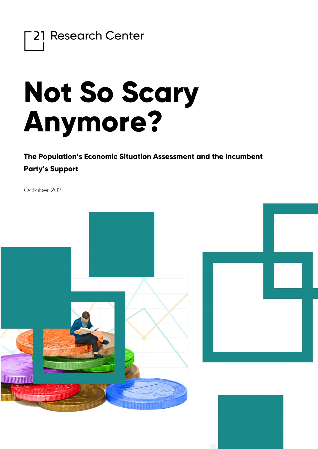

## **Not So Scary Anymore?**

**The Population's Economic Situation Assessment and the Incumbent Party's Support**

October 2021

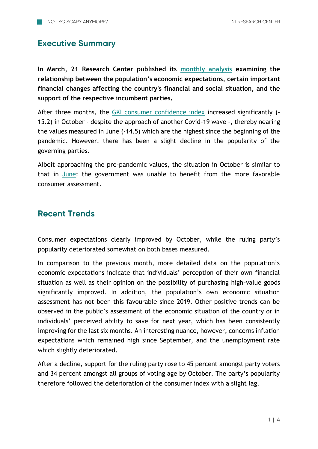## **Executive Summary**

**In March, 21 Research Center published its [monthly analysis](https://21kutatokozpont.hu/wp-content/uploads/2021/03/bizalmi_21marc.pdf) examining the relationship between the population's economic expectations, certain important financial changes affecting the country's financial and social situation, and the support of the respective incumbent parties.**

After three months, the [GKI consumer confidence index](https://www.gki.hu/language/hu/2021/10/24/oktoberben-keteves-csucsara-emelkedett-a-gki-konjunkturaindexe/) increased significantly (-15.2) in October - despite the approach of another Covid-19 wave -, thereby nearing the values measured in June (-14.5) which are the highest since the beginning of the pandemic. However, there has been a slight decline in the popularity of the governing parties.

Albeit approaching the pre-pandemic values, the situation in October is similar to that in [June:](https://21kutatokozpont.hu/wp-content/uploads/2021/07/bizalmi_21jun_2.pdf) the government was unable to benefit from the more favorable consumer assessment.

## **Recent Trends**

Consumer expectations clearly improved by October, while the ruling party's popularity deteriorated somewhat on both bases measured.

In comparison to the previous month, more detailed data on the population's economic expectations indicate that individuals' perception of their own financial situation as well as their opinion on the possibility of purchasing high-value goods significantly improved. In addition, the population's own economic situation assessment has not been this favourable since 2019. Other positive trends can be observed in the public's assessment of the economic situation of the country or in individuals' perceived ability to save for next year, which has been consistently improving for the last six months. An interesting nuance, however, concerns inflation expectations which remained high since September, and the unemployment rate which slightly deteriorated.

After a decline, support for the ruling party rose to 45 percent amongst party voters and 34 percent amongst all groups of voting age by October. The party's popularity therefore followed the deterioration of the consumer index with a slight lag.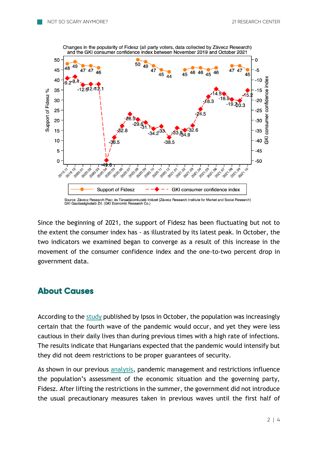

Source: Závecz Research Piac- és Társadalomkutató Intézet (Závecz Research Institute for Market and Social Research) GKI Gazdaságkutató Zrt. (GKI Economic Research Co.)

Since the beginning of 2021, the support of Fidesz has been fluctuating but not to the extent the consumer index has - as illustrated by its latest peak. In October, the two indicators we examined began to converge as a result of this increase in the movement of the consumer confidence index and the one-to-two percent drop in government data.

## **About Causes**

According to the [study](https://www.ipsos.com/hu-hu/negyedik-hullam-mar-nem-ijeszti-meg-lakossagot) published by Ipsos in October, the population was increasingly certain that the fourth wave of the pandemic would occur, and yet they were less cautious in their daily lives than during previous times with a high rate of infections. The results indicate that Hungarians expected that the pandemic would intensify but they did not deem restrictions to be proper guarantees of security.

As shown in our previous [analysis,](https://21kutatokozpont.hu/wp-content/uploads/2020/06/Fidesz_titok_21_Kutat%C3%B3k%C3%B6zpont_tanulm%C3%A1ny.pdf) pandemic management and restrictions influence the population's assessment of the economic situation and the governing party, Fidesz. After lifting the restrictions in the summer, the government did not introduce the usual precautionary measures taken in previous waves until the first half of